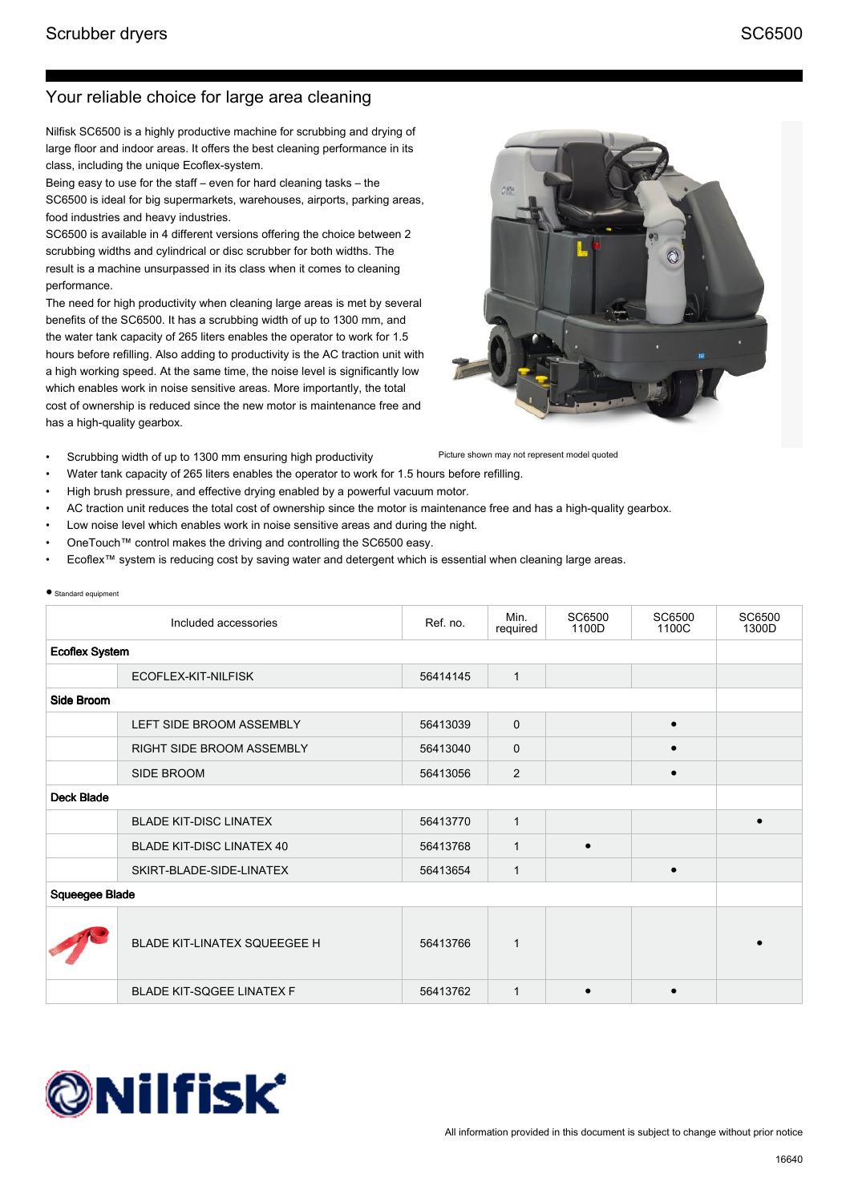● Standard equipment

## Your reliable choice for large area cleaning

Nilfisk SC6500 is a highly productive machine for scrubbing and drying of large floor and indoor areas. It offers the best cleaning performance in its class, including the unique Ecoflex-system.

Being easy to use for the staff – even for hard cleaning tasks – the SC6500 is ideal for big supermarkets, warehouses, airports, parking areas, food industries and heavy industries.

SC6500 is available in 4 different versions offering the choice between 2 scrubbing widths and cylindrical or disc scrubber for both widths. The result is a machine unsurpassed in its class when it comes to cleaning performance.

The need for high productivity when cleaning large areas is met by several benefits of the SC6500. It has a scrubbing width of up to 1300 mm, and the water tank capacity of 265 liters enables the operator to work for 1.5 hours before refilling. Also adding to productivity is the AC traction unit with a high working speed. At the same time, the noise level is significantly low which enables work in noise sensitive areas. More importantly, the total cost of ownership is reduced since the new motor is maintenance free and has a high-quality gearbox.

- Scrubbing width of up to 1300 mm ensuring high productivity
- Water tank capacity of 265 liters enables the operator to work for 1.5 hours before refilling.
	- High brush pressure, and effective drying enabled by a powerful vacuum motor.
- AC traction unit reduces the total cost of ownership since the motor is maintenance free and has a high-quality gearbox.
- Low noise level which enables work in noise sensitive areas and during the night.
- OneTouch™ control makes the driving and controlling the SC6500 easy.
- Ecoflex™ system is reducing cost by saving water and detergent which is essential when cleaning large areas.

| Otamaara caapment     |                                  |          |                  |                 |                 |                 |  |
|-----------------------|----------------------------------|----------|------------------|-----------------|-----------------|-----------------|--|
|                       | Included accessories             | Ref. no. | Min.<br>required | SC6500<br>1100D | SC6500<br>1100C | SC6500<br>1300D |  |
| <b>Ecoflex System</b> |                                  |          |                  |                 |                 |                 |  |
|                       | ECOFLEX-KIT-NILFISK              | 56414145 | $\mathbf{1}$     |                 |                 |                 |  |
| Side Broom            |                                  |          |                  |                 |                 |                 |  |
|                       | LEFT SIDE BROOM ASSEMBLY         | 56413039 | $\mathbf{0}$     |                 |                 |                 |  |
|                       | <b>RIGHT SIDE BROOM ASSEMBLY</b> | 56413040 | 0                |                 |                 |                 |  |
|                       | SIDE BROOM                       | 56413056 | 2                |                 | $\bullet$       |                 |  |
| <b>Deck Blade</b>     |                                  |          |                  |                 |                 |                 |  |
|                       | <b>BLADE KIT-DISC LINATEX</b>    | 56413770 | $\mathbf{1}$     |                 |                 | $\bullet$       |  |
|                       | <b>BLADE KIT-DISC LINATEX 40</b> | 56413768 | $\mathbf{1}$     | $\bullet$       |                 |                 |  |
|                       | SKIRT-BLADE-SIDE-LINATEX         | 56413654 | $\mathbf{1}$     |                 | $\bullet$       |                 |  |
| Squeegee Blade        |                                  |          |                  |                 |                 |                 |  |
|                       | BLADE KIT-LINATEX SQUEEGEE H     | 56413766 | $\mathbf{1}$     |                 |                 |                 |  |
|                       | <b>BLADE KIT-SQGEE LINATEX F</b> | 56413762 | 1                | $\bullet$       | $\bullet$       |                 |  |





Picture shown may not represent model quoted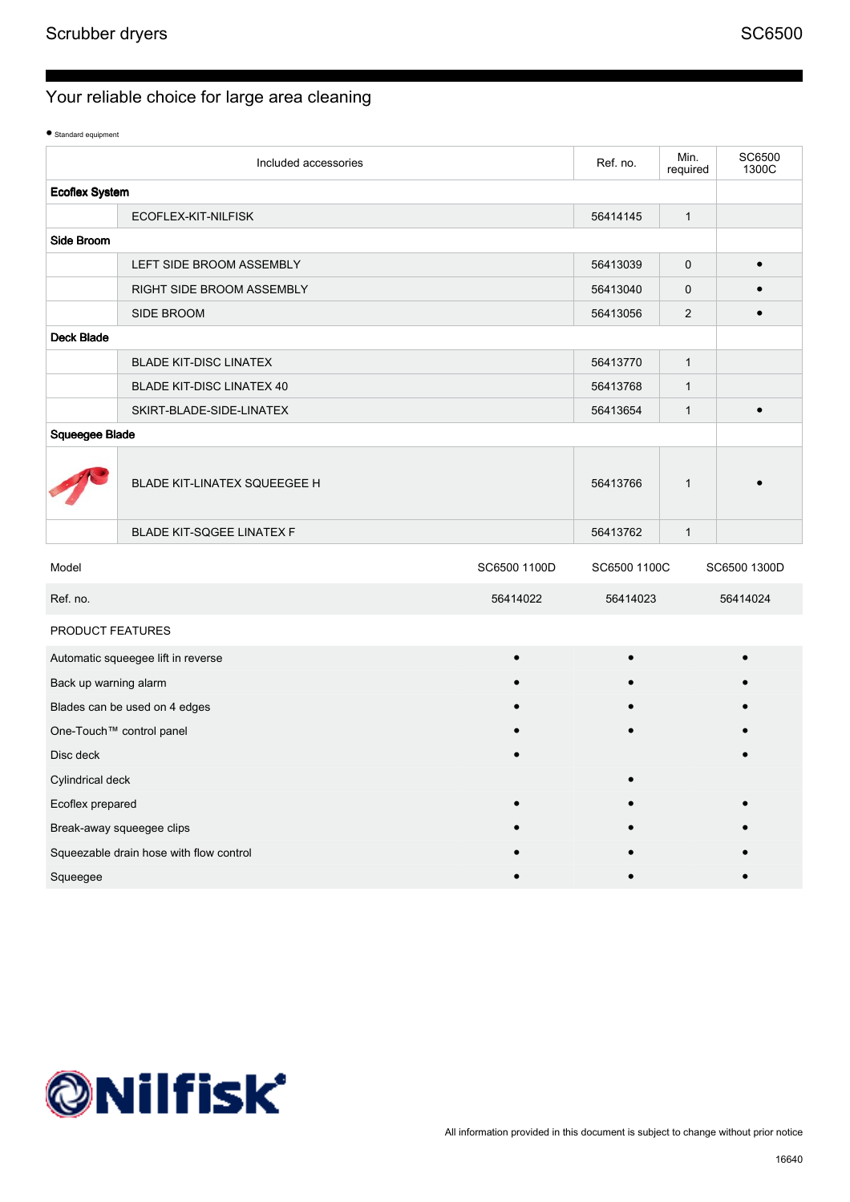● Standard equipment

|                       | Included accessories                    |              | Ref. no.     | Min.<br>required | SC6500<br>1300C |
|-----------------------|-----------------------------------------|--------------|--------------|------------------|-----------------|
| <b>Ecoflex System</b> |                                         |              |              |                  |                 |
|                       | ECOFLEX-KIT-NILFISK                     |              | 56414145     | $\mathbf{1}$     |                 |
| Side Broom            |                                         |              |              |                  |                 |
|                       | LEFT SIDE BROOM ASSEMBLY                |              | 56413039     | $\mathbf 0$      | $\bullet$       |
|                       | RIGHT SIDE BROOM ASSEMBLY               |              | 56413040     | $\mathbf 0$      |                 |
|                       | SIDE BROOM                              |              | 56413056     | $\mathbf{2}$     |                 |
| <b>Deck Blade</b>     |                                         |              |              |                  |                 |
|                       | <b>BLADE KIT-DISC LINATEX</b>           |              | 56413770     | $\mathbf{1}$     |                 |
|                       | <b>BLADE KIT-DISC LINATEX 40</b>        |              | 56413768     | $\mathbf{1}$     |                 |
|                       | SKIRT-BLADE-SIDE-LINATEX                |              | 56413654     | $\mathbf{1}$     | $\bullet$       |
| Squeegee Blade        |                                         |              |              |                  |                 |
|                       | BLADE KIT-LINATEX SQUEEGEE H            |              | 56413766     | $\mathbf{1}$     |                 |
|                       | <b>BLADE KIT-SQGEE LINATEX F</b>        |              | 56413762     | $\mathbf{1}$     |                 |
| Model                 |                                         | SC6500 1100D | SC6500 1100C |                  | SC6500 1300D    |
| Ref. no.              |                                         | 56414022     | 56414023     |                  | 56414024        |
| PRODUCT FEATURES      |                                         |              |              |                  |                 |
|                       | Automatic squeegee lift in reverse      |              |              |                  |                 |
| Back up warning alarm |                                         |              |              |                  |                 |
|                       | Blades can be used on 4 edges           |              |              |                  |                 |
|                       | One-Touch™ control panel                |              |              |                  |                 |
| Disc deck             |                                         |              |              |                  |                 |
| Cylindrical deck      |                                         |              |              |                  |                 |
| Ecoflex prepared      |                                         |              |              |                  |                 |
|                       | Break-away squeegee clips               |              |              |                  |                 |
|                       | Squeezable drain hose with flow control |              |              |                  |                 |
| Squeegee              |                                         |              |              |                  |                 |

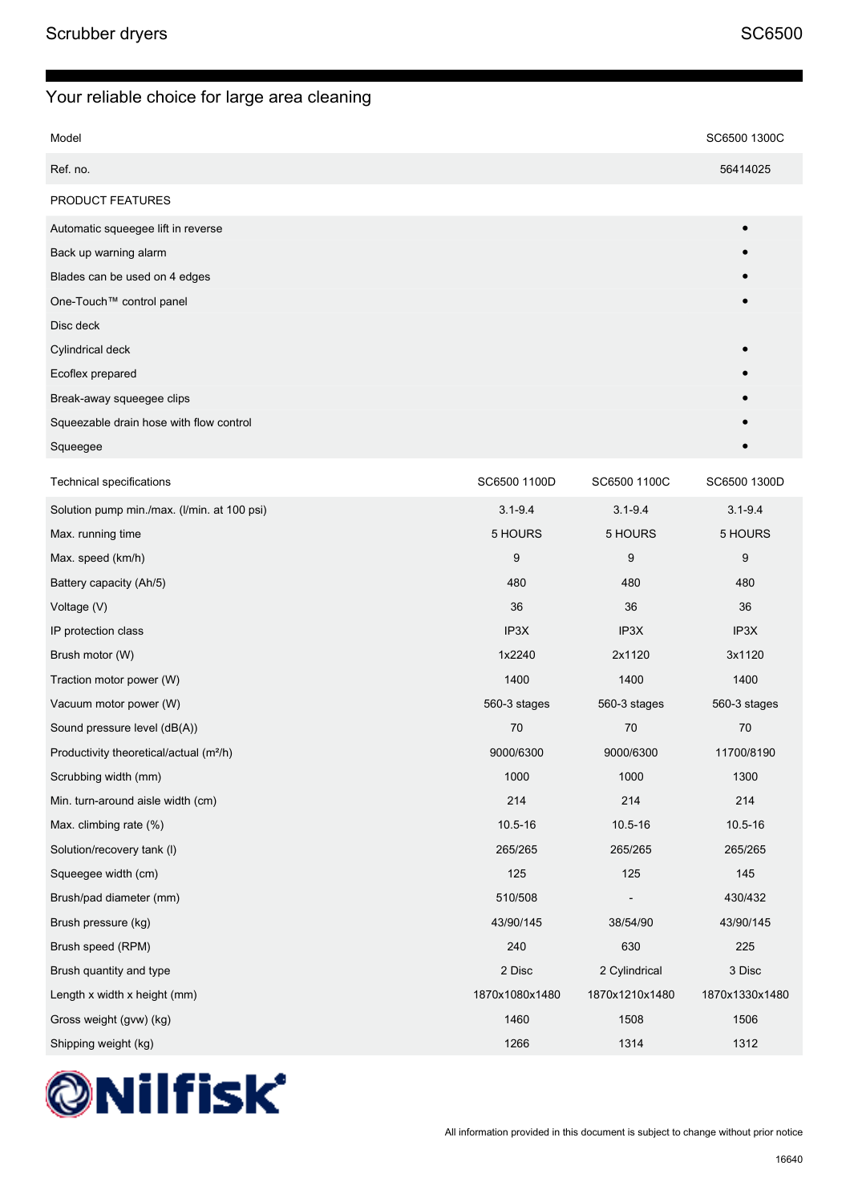| Model                   | SC6500 1300C |
|-------------------------|--------------|
| Ref. no.                | 56414025     |
| <b>PRODUCT FEATURES</b> |              |

| Automatic squeegee lift in reverse      | $\bullet$ |
|-----------------------------------------|-----------|
| Back up warning alarm                   |           |
| Blades can be used on 4 edges           |           |
| One-Touch™ control panel                |           |
| Disc deck                               |           |
| Cylindrical deck                        |           |
| Ecoflex prepared                        |           |
| Break-away squeegee clips               |           |
| Squeezable drain hose with flow control |           |
| Squeegee                                |           |

| <b>Technical specifications</b>                     | SC6500 1100D   | SC6500 1100C   | SC6500 1300D   |
|-----------------------------------------------------|----------------|----------------|----------------|
| Solution pump min./max. (I/min. at 100 psi)         | $3.1 - 9.4$    | $3.1 - 9.4$    | $3.1 - 9.4$    |
| Max. running time                                   | 5 HOURS        | 5 HOURS        | 5 HOURS        |
| Max. speed (km/h)                                   | 9              | 9              | 9              |
| Battery capacity (Ah/5)                             | 480            | 480            | 480            |
| Voltage (V)                                         | 36             | 36             | 36             |
| IP protection class                                 | IP3X           | IP3X           | IP3X           |
| Brush motor (W)                                     | 1x2240         | 2x1120         | 3x1120         |
| Traction motor power (W)                            | 1400           | 1400           | 1400           |
| Vacuum motor power (W)                              | 560-3 stages   | 560-3 stages   | 560-3 stages   |
| Sound pressure level (dB(A))                        | 70             | 70             | 70             |
| Productivity theoretical/actual (m <sup>2</sup> /h) | 9000/6300      | 9000/6300      | 11700/8190     |
| Scrubbing width (mm)                                | 1000           | 1000           | 1300           |
| Min. turn-around aisle width (cm)                   | 214            | 214            | 214            |
| Max. climbing rate (%)                              | $10.5 - 16$    | $10.5 - 16$    | $10.5 - 16$    |
| Solution/recovery tank (I)                          | 265/265        | 265/265        | 265/265        |
| Squeegee width (cm)                                 | 125            | 125            | 145            |
| Brush/pad diameter (mm)                             | 510/508        |                | 430/432        |
| Brush pressure (kg)                                 | 43/90/145      | 38/54/90       | 43/90/145      |
| Brush speed (RPM)                                   | 240            | 630            | 225            |
| Brush quantity and type                             | 2 Disc         | 2 Cylindrical  | 3 Disc         |
| Length x width x height (mm)                        | 1870x1080x1480 | 1870x1210x1480 | 1870x1330x1480 |
| Gross weight (gvw) (kg)                             | 1460           | 1508           | 1506           |
| Shipping weight (kg)                                | 1266           | 1314           | 1312           |

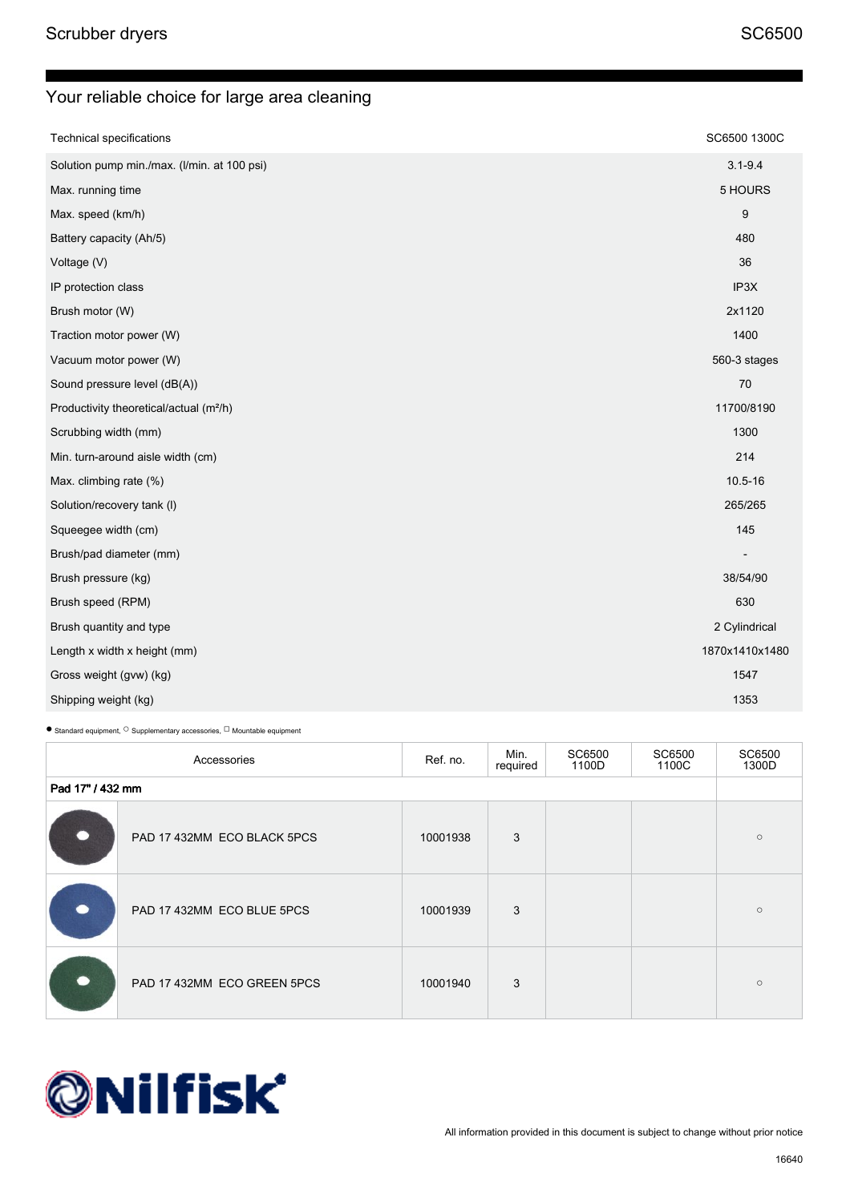| <b>Technical specifications</b>                     | SC6500 1300C   |
|-----------------------------------------------------|----------------|
| Solution pump min./max. (I/min. at 100 psi)         | $3.1 - 9.4$    |
| Max. running time                                   | 5 HOURS        |
| Max. speed (km/h)                                   | 9              |
| Battery capacity (Ah/5)                             | 480            |
| Voltage (V)                                         | 36             |
| IP protection class                                 | IP3X           |
| Brush motor (W)                                     | 2x1120         |
| Traction motor power (W)                            | 1400           |
| Vacuum motor power (W)                              | 560-3 stages   |
| Sound pressure level (dB(A))                        | 70             |
| Productivity theoretical/actual (m <sup>2</sup> /h) | 11700/8190     |
| Scrubbing width (mm)                                | 1300           |
| Min. turn-around aisle width (cm)                   | 214            |
| Max. climbing rate (%)                              | 10.5-16        |
| Solution/recovery tank (I)                          | 265/265        |
| Squeegee width (cm)                                 | 145            |
| Brush/pad diameter (mm)                             |                |
| Brush pressure (kg)                                 | 38/54/90       |
| Brush speed (RPM)                                   | 630            |
| Brush quantity and type                             | 2 Cylindrical  |
| Length x width x height (mm)                        | 1870x1410x1480 |
| Gross weight (gvw) (kg)                             | 1547           |
| Shipping weight (kg)                                | 1353           |

 $\bullet$  Standard equipment,  $\circ$  Supplementary accessories,  $\Box$  Mountable equipment

| Accessories      |                             | Ref. no. | Min.<br>required | SC6500<br>1100D | SC6500<br>1100C | SC6500<br>1300D |
|------------------|-----------------------------|----------|------------------|-----------------|-----------------|-----------------|
| Pad 17" / 432 mm |                             |          |                  |                 |                 |                 |
|                  | PAD 17 432MM ECO BLACK 5PCS | 10001938 | 3                |                 |                 | $\circ$         |
|                  | PAD 17 432MM ECO BLUE 5PCS  | 10001939 | 3                |                 |                 | $\circ$         |
|                  | PAD 17 432MM ECO GREEN 5PCS | 10001940 | 3                |                 |                 | $\circ$         |

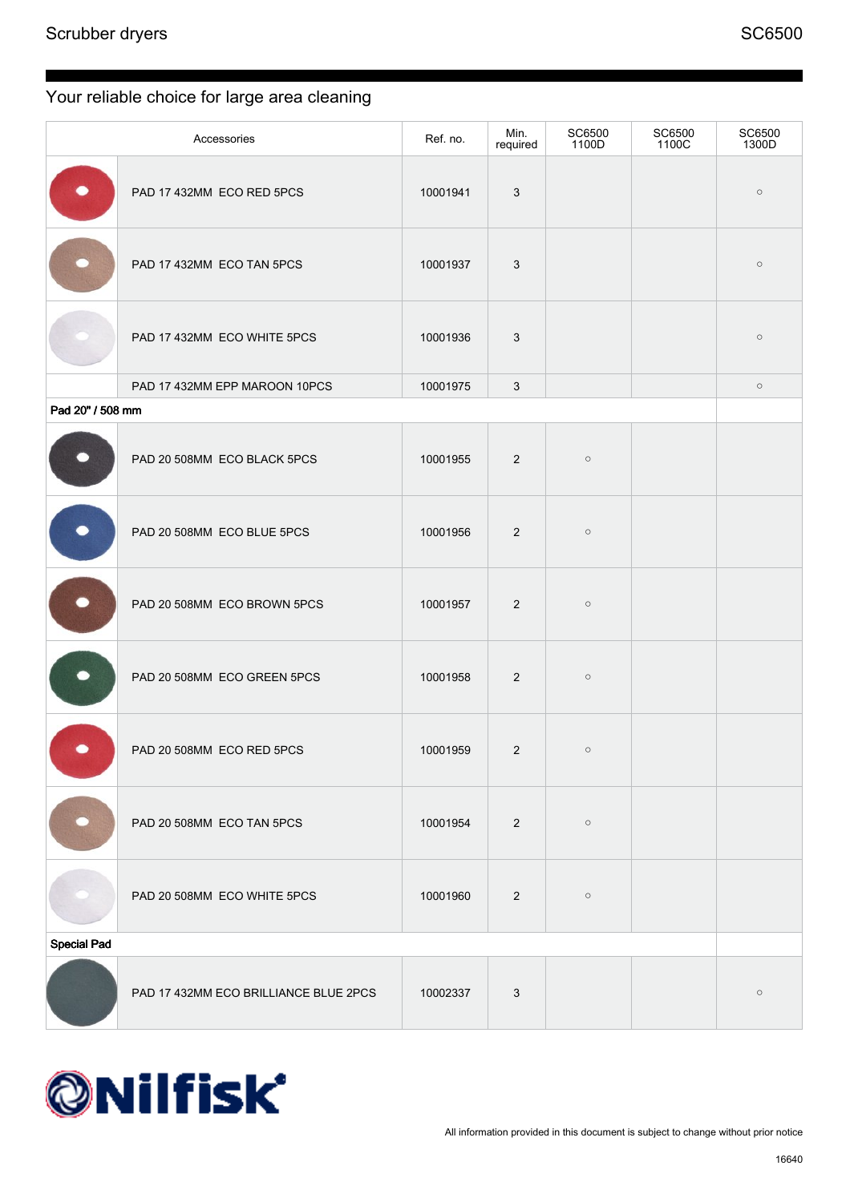|                    | Accessories                           | Ref. no. | Min.<br>required | SC6500<br>1100D | SC6500<br>1100C | SC6500<br>1300D |
|--------------------|---------------------------------------|----------|------------------|-----------------|-----------------|-----------------|
|                    | PAD 17 432MM ECO RED 5PCS             | 10001941 | 3                |                 |                 | $\circ$         |
|                    | PAD 17 432MM ECO TAN 5PCS             | 10001937 | 3                |                 |                 | $\circ$         |
|                    | PAD 17 432MM ECO WHITE 5PCS           | 10001936 | 3                |                 |                 | $\circ$         |
|                    | PAD 17 432MM EPP MAROON 10PCS         | 10001975 | 3                |                 |                 | $\circ$         |
| Pad 20" / 508 mm   |                                       |          |                  |                 |                 |                 |
|                    | PAD 20 508MM ECO BLACK 5PCS           | 10001955 | $\overline{2}$   | $\circ$         |                 |                 |
|                    | PAD 20 508MM ECO BLUE 5PCS            | 10001956 | $\overline{2}$   | $\circ$         |                 |                 |
|                    | PAD 20 508MM ECO BROWN 5PCS           | 10001957 | 2                | $\circ$         |                 |                 |
|                    | PAD 20 508MM ECO GREEN 5PCS           | 10001958 | $\overline{2}$   | $\circ$         |                 |                 |
|                    | PAD 20 508MM ECO RED 5PCS             | 10001959 | $\overline{2}$   | $\circ$         |                 |                 |
|                    | PAD 20 508MM ECO TAN 5PCS             | 10001954 | $2^{\circ}$      | $\circ$         |                 |                 |
|                    | PAD 20 508MM ECO WHITE 5PCS           | 10001960 | $\overline{2}$   | $\circ$         |                 |                 |
| <b>Special Pad</b> |                                       |          |                  |                 |                 |                 |
|                    | PAD 17 432MM ECO BRILLIANCE BLUE 2PCS | 10002337 | 3                |                 |                 | $\circ$         |

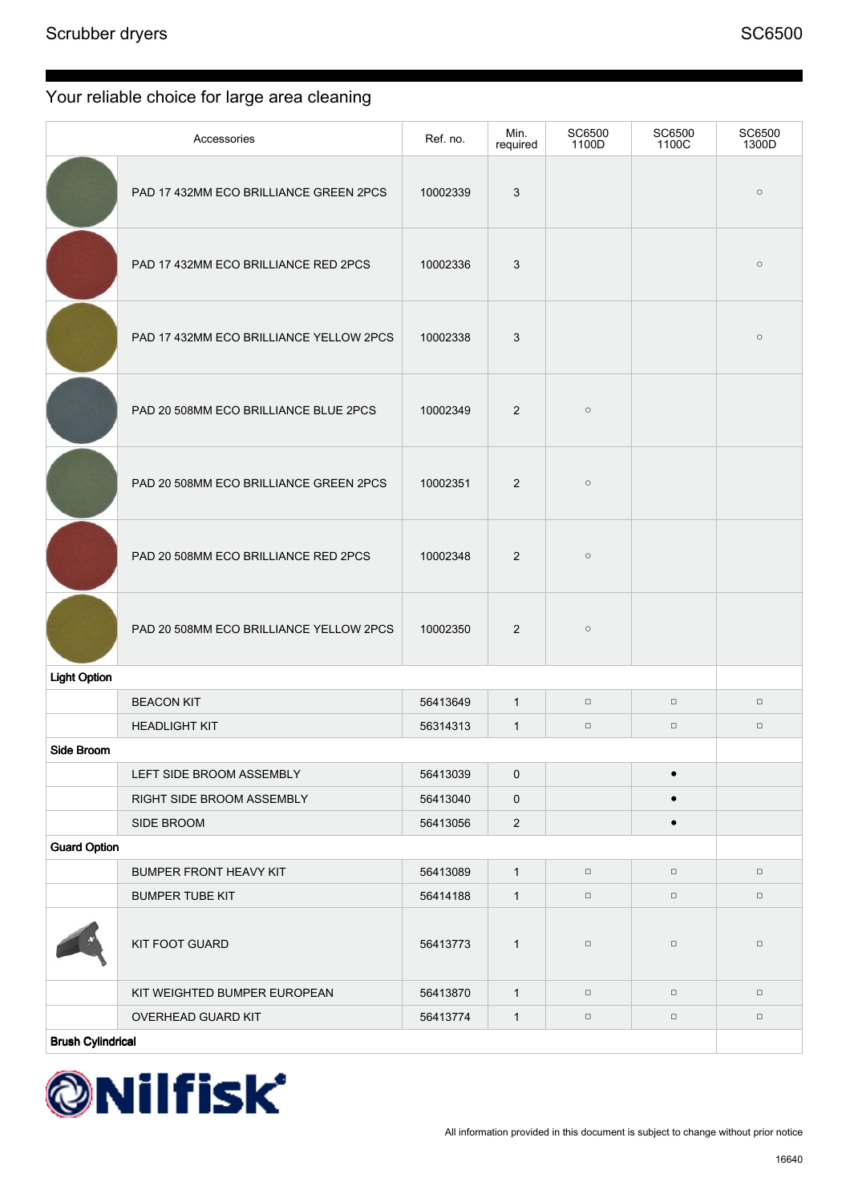|                          | Accessories                             | Ref. no. | Min.<br>required | SC6500<br>1100D | SC6500<br>1100C | SC6500<br>1300D |
|--------------------------|-----------------------------------------|----------|------------------|-----------------|-----------------|-----------------|
|                          | PAD 17 432MM ECO BRILLIANCE GREEN 2PCS  | 10002339 | 3                |                 |                 | $\circ$         |
|                          | PAD 17 432MM ECO BRILLIANCE RED 2PCS    | 10002336 | 3                |                 |                 | $\circ$         |
|                          | PAD 17 432MM ECO BRILLIANCE YELLOW 2PCS | 10002338 | 3                |                 |                 | $\circ$         |
|                          | PAD 20 508MM ECO BRILLIANCE BLUE 2PCS   | 10002349 | 2                | $\circ$         |                 |                 |
|                          | PAD 20 508MM ECO BRILLIANCE GREEN 2PCS  | 10002351 | 2                | $\circ$         |                 |                 |
|                          | PAD 20 508MM ECO BRILLIANCE RED 2PCS    | 10002348 | 2                | $\circ$         |                 |                 |
|                          | PAD 20 508MM ECO BRILLIANCE YELLOW 2PCS | 10002350 | $\overline{2}$   | $\circ$         |                 |                 |
| <b>Light Option</b>      |                                         |          |                  |                 |                 |                 |
|                          | <b>BEACON KIT</b>                       | 56413649 | $\mathbf{1}$     | $\Box$          | $\Box$          | $\Box$          |
|                          | <b>HEADLIGHT KIT</b>                    | 56314313 | $\mathbf{1}$     | $\Box$          | $\Box$          | $\Box$          |
| Side Broom               |                                         |          |                  |                 |                 |                 |
|                          | LEFT SIDE BROOM ASSEMBLY                | 56413039 | $\pmb{0}$        |                 | $\bullet$       |                 |
|                          | RIGHT SIDE BROOM ASSEMBLY               | 56413040 | $\pmb{0}$        |                 | $\bullet$       |                 |
|                          | SIDE BROOM                              | 56413056 | $\sqrt{2}$       |                 | $\bullet$       |                 |
| <b>Guard Option</b>      |                                         |          |                  |                 |                 |                 |
|                          | BUMPER FRONT HEAVY KIT                  | 56413089 | $\mathbf{1}$     | $\Box$          | $\Box$          | $\Box$          |
|                          | <b>BUMPER TUBE KIT</b>                  | 56414188 | $\mathbf{1}$     | $\Box$          | $\Box$          | $\Box$          |
|                          | KIT FOOT GUARD                          | 56413773 | $\mathbf{1}$     | $\Box$          | $\Box$          | $\Box$          |
|                          | KIT WEIGHTED BUMPER EUROPEAN            | 56413870 | $\mathbf{1}$     | $\Box$          | $\Box$          | $\Box$          |
|                          | OVERHEAD GUARD KIT                      | 56413774 | $\mathbf{1}$     | $\Box$          | $\Box$          | $\Box$          |
| <b>Brush Cylindrical</b> |                                         |          |                  |                 |                 |                 |

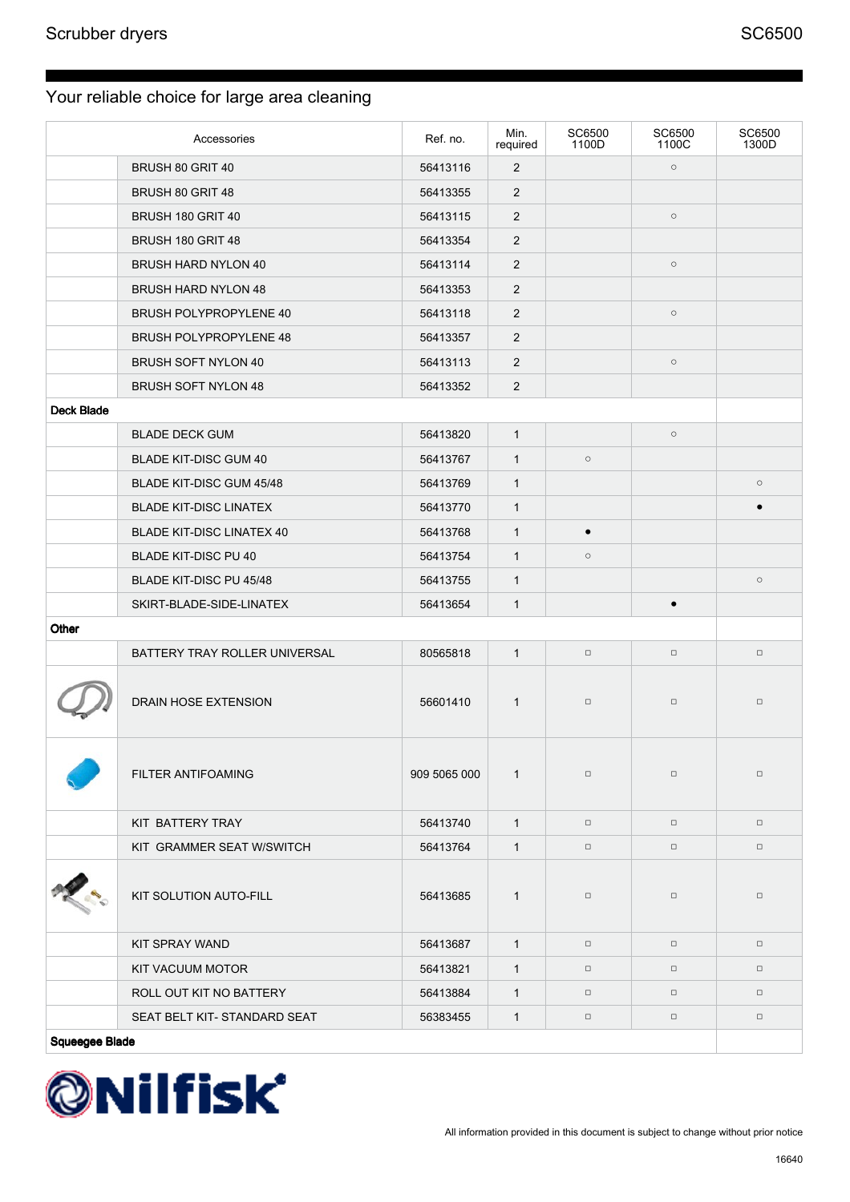|                | Accessories                      | Ref. no.     | Min.<br>required | SC6500<br>1100D | SC6500<br>1100C | SC6500<br>1300D |
|----------------|----------------------------------|--------------|------------------|-----------------|-----------------|-----------------|
|                | BRUSH 80 GRIT 40                 | 56413116     | $\overline{2}$   |                 | $\circ$         |                 |
|                | BRUSH 80 GRIT 48                 | 56413355     | $\overline{2}$   |                 |                 |                 |
|                | BRUSH 180 GRIT 40                | 56413115     | 2                |                 | $\circ$         |                 |
|                | BRUSH 180 GRIT 48                | 56413354     | $\overline{2}$   |                 |                 |                 |
|                | <b>BRUSH HARD NYLON 40</b>       | 56413114     | $\overline{2}$   |                 | $\circ$         |                 |
|                | <b>BRUSH HARD NYLON 48</b>       | 56413353     | $\overline{2}$   |                 |                 |                 |
|                | <b>BRUSH POLYPROPYLENE 40</b>    | 56413118     | $\overline{2}$   |                 | $\circ$         |                 |
|                | <b>BRUSH POLYPROPYLENE 48</b>    | 56413357     | $\overline{2}$   |                 |                 |                 |
|                | <b>BRUSH SOFT NYLON 40</b>       | 56413113     | $\overline{2}$   |                 | $\circ$         |                 |
|                | <b>BRUSH SOFT NYLON 48</b>       | 56413352     | 2                |                 |                 |                 |
| Deck Blade     |                                  |              |                  |                 |                 |                 |
|                | <b>BLADE DECK GUM</b>            | 56413820     | $\mathbf{1}$     |                 | $\circ$         |                 |
|                | <b>BLADE KIT-DISC GUM 40</b>     | 56413767     | $\mathbf{1}$     | $\circ$         |                 |                 |
|                | BLADE KIT-DISC GUM 45/48         | 56413769     | $\mathbf{1}$     |                 |                 | $\circ$         |
|                | <b>BLADE KIT-DISC LINATEX</b>    | 56413770     | $\mathbf{1}$     |                 |                 |                 |
|                | <b>BLADE KIT-DISC LINATEX 40</b> | 56413768     | $\mathbf{1}$     | $\bullet$       |                 |                 |
|                | <b>BLADE KIT-DISC PU 40</b>      | 56413754     | $\mathbf{1}$     | $\circ$         |                 |                 |
|                | BLADE KIT-DISC PU 45/48          | 56413755     | $\mathbf{1}$     |                 |                 | $\circ$         |
|                | SKIRT-BLADE-SIDE-LINATEX         | 56413654     | $\mathbf{1}$     |                 | $\bullet$       |                 |
| Other          |                                  |              |                  |                 |                 |                 |
|                | BATTERY TRAY ROLLER UNIVERSAL    | 80565818     | $\mathbf{1}$     | $\Box$          | $\Box$          | $\Box$          |
|                | <b>DRAIN HOSE EXTENSION</b>      | 56601410     | $\mathbf{1}$     | $\Box$          | $\Box$          | $\Box$          |
|                | FILTER ANTIFOAMING               | 909 5065 000 | $\mathbf{1}$     | $\Box$          | $\Box$          | $\Box$          |
|                | KIT BATTERY TRAY                 | 56413740     | $\mathbf{1}$     | $\Box$          | $\Box$          | $\Box$          |
|                | KIT GRAMMER SEAT W/SWITCH        | 56413764     | $\mathbf{1}$     | $\Box$          | $\Box$          | $\Box$          |
|                | KIT SOLUTION AUTO-FILL           | 56413685     | $\mathbf{1}$     | $\Box$          | $\Box$          | $\Box$          |
|                | KIT SPRAY WAND                   | 56413687     | $\overline{1}$   | $\Box$          | $\Box$          | $\Box$          |
|                | KIT VACUUM MOTOR                 | 56413821     | $\mathbf{1}$     | $\Box$          | $\Box$          | $\Box$          |
|                | ROLL OUT KIT NO BATTERY          | 56413884     | $\mathbf{1}$     | $\Box$          | $\Box$          | $\Box$          |
|                | SEAT BELT KIT-STANDARD SEAT      | 56383455     | $\mathbf{1}$     | $\Box$          | $\Box$          | $\Box$          |
| Squeegee Blade |                                  |              |                  |                 |                 |                 |

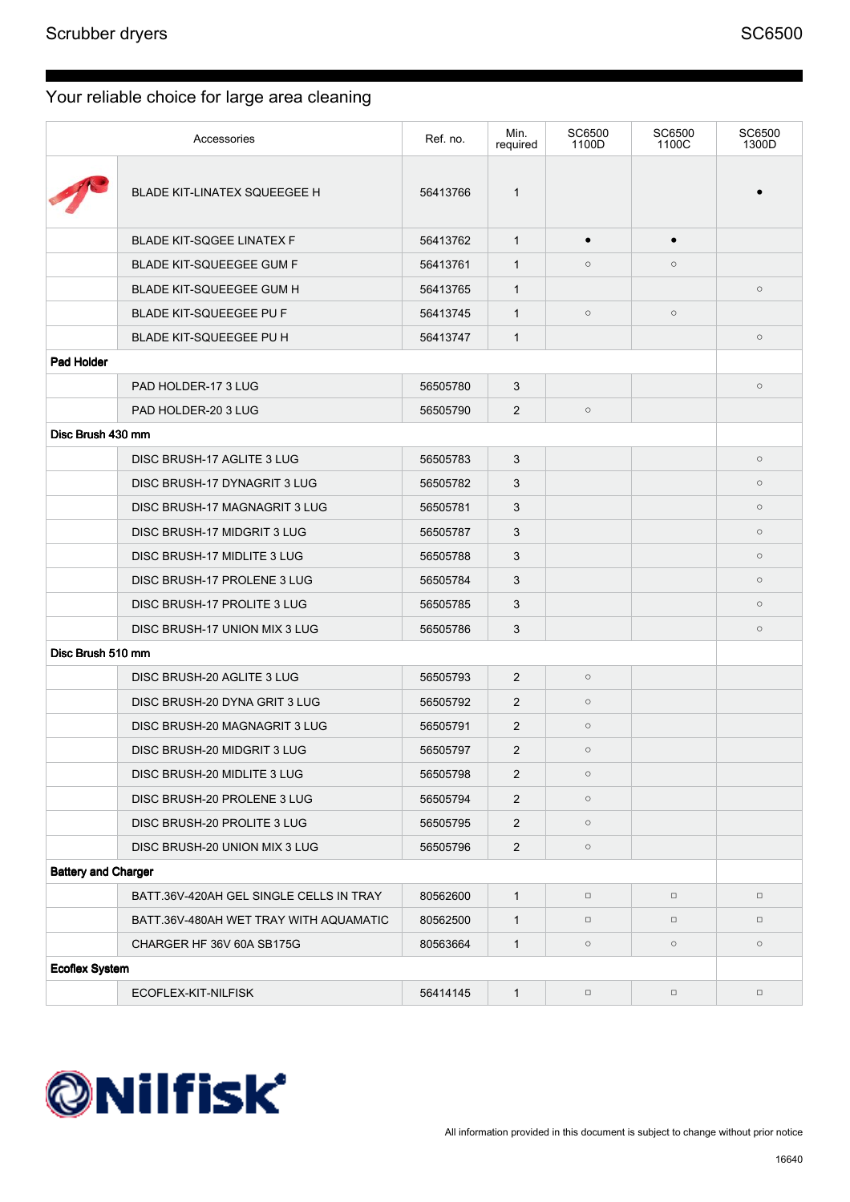|                            | Accessories                             | Ref. no. | Min.<br>required | <b>SC6500</b><br>1100D | SC6500<br>1100C | SC6500<br>1300D |  |  |
|----------------------------|-----------------------------------------|----------|------------------|------------------------|-----------------|-----------------|--|--|
|                            | <b>BLADE KIT-LINATEX SQUEEGEE H</b>     | 56413766 | $\mathbf{1}$     |                        |                 |                 |  |  |
|                            | <b>BLADE KIT-SQGEE LINATEX F</b>        | 56413762 | $\mathbf{1}$     | $\bullet$              |                 |                 |  |  |
|                            | <b>BLADE KIT-SQUEEGEE GUM F</b>         | 56413761 | $\mathbf{1}$     | $\circ$                | $\circ$         |                 |  |  |
|                            | <b>BLADE KIT-SQUEEGEE GUM H</b>         | 56413765 | $\mathbf{1}$     |                        |                 | $\circ$         |  |  |
|                            | <b>BLADE KIT-SQUEEGEE PU F</b>          | 56413745 | $\mathbf{1}$     | $\circ$                | $\circ$         |                 |  |  |
|                            | BLADE KIT-SQUEEGEE PU H                 | 56413747 | $\mathbf{1}$     |                        |                 | $\circ$         |  |  |
| Pad Holder                 |                                         |          |                  |                        |                 |                 |  |  |
|                            | PAD HOLDER-17 3 LUG                     | 56505780 | 3                |                        |                 | $\circ$         |  |  |
|                            | PAD HOLDER-20 3 LUG                     | 56505790 | 2                | $\circ$                |                 |                 |  |  |
| Disc Brush 430 mm          |                                         |          |                  |                        |                 |                 |  |  |
|                            | DISC BRUSH-17 AGLITE 3 LUG              | 56505783 | 3                |                        |                 | $\circ$         |  |  |
|                            | DISC BRUSH-17 DYNAGRIT 3 LUG            | 56505782 | 3                |                        |                 | $\circ$         |  |  |
|                            | DISC BRUSH-17 MAGNAGRIT 3 LUG           | 56505781 | 3                |                        |                 | $\circ$         |  |  |
|                            | DISC BRUSH-17 MIDGRIT 3 LUG             | 56505787 | 3                |                        |                 | $\circ$         |  |  |
|                            | DISC BRUSH-17 MIDLITE 3 LUG             | 56505788 | 3                |                        |                 | $\circ$         |  |  |
|                            | DISC BRUSH-17 PROLENE 3 LUG             | 56505784 | 3                |                        |                 | $\circ$         |  |  |
|                            | DISC BRUSH-17 PROLITE 3 LUG             | 56505785 | 3                |                        |                 | $\circ$         |  |  |
|                            | DISC BRUSH-17 UNION MIX 3 LUG           | 56505786 | 3                |                        |                 | $\circ$         |  |  |
| Disc Brush 510 mm          |                                         |          |                  |                        |                 |                 |  |  |
|                            | DISC BRUSH-20 AGLITE 3 LUG              | 56505793 | 2                | $\circ$                |                 |                 |  |  |
|                            | DISC BRUSH-20 DYNA GRIT 3 LUG           | 56505792 | 2                | $\circ$                |                 |                 |  |  |
|                            | DISC BRUSH-20 MAGNAGRIT 3 LUG           | 56505791 | 2                | $\circ$                |                 |                 |  |  |
|                            | DISC BRUSH-20 MIDGRIT 3 LUG             | 56505797 | 2                | $\circ$                |                 |                 |  |  |
|                            | DISC BRUSH-20 MIDLITE 3 LUG             | 56505798 | 2                | $\circ$                |                 |                 |  |  |
|                            | DISC BRUSH-20 PROLENE 3 LUG             | 56505794 | $\overline{2}$   | $\circ$                |                 |                 |  |  |
|                            | DISC BRUSH-20 PROLITE 3 LUG             | 56505795 | 2                | $\circ$                |                 |                 |  |  |
|                            | DISC BRUSH-20 UNION MIX 3 LUG           | 56505796 | $\sqrt{2}$       | $\circ$                |                 |                 |  |  |
| <b>Battery and Charger</b> |                                         |          |                  |                        |                 |                 |  |  |
|                            | BATT.36V-420AH GEL SINGLE CELLS IN TRAY | 80562600 | $\mathbf{1}$     | $\Box$                 | $\Box$          | $\Box$          |  |  |
|                            | BATT.36V-480AH WET TRAY WITH AQUAMATIC  | 80562500 | $\mathbf{1}$     | $\Box$                 | $\Box$          | $\Box$          |  |  |
|                            | CHARGER HF 36V 60A SB175G               | 80563664 | $\mathbf{1}$     | $\circ$                | $\circ$         | $\circ$         |  |  |
| <b>Ecoflex System</b>      |                                         |          |                  |                        |                 |                 |  |  |
|                            | ECOFLEX-KIT-NILFISK                     | 56414145 | $\mathbf{1}$     | $\Box$                 | $\Box$          | $\Box$          |  |  |

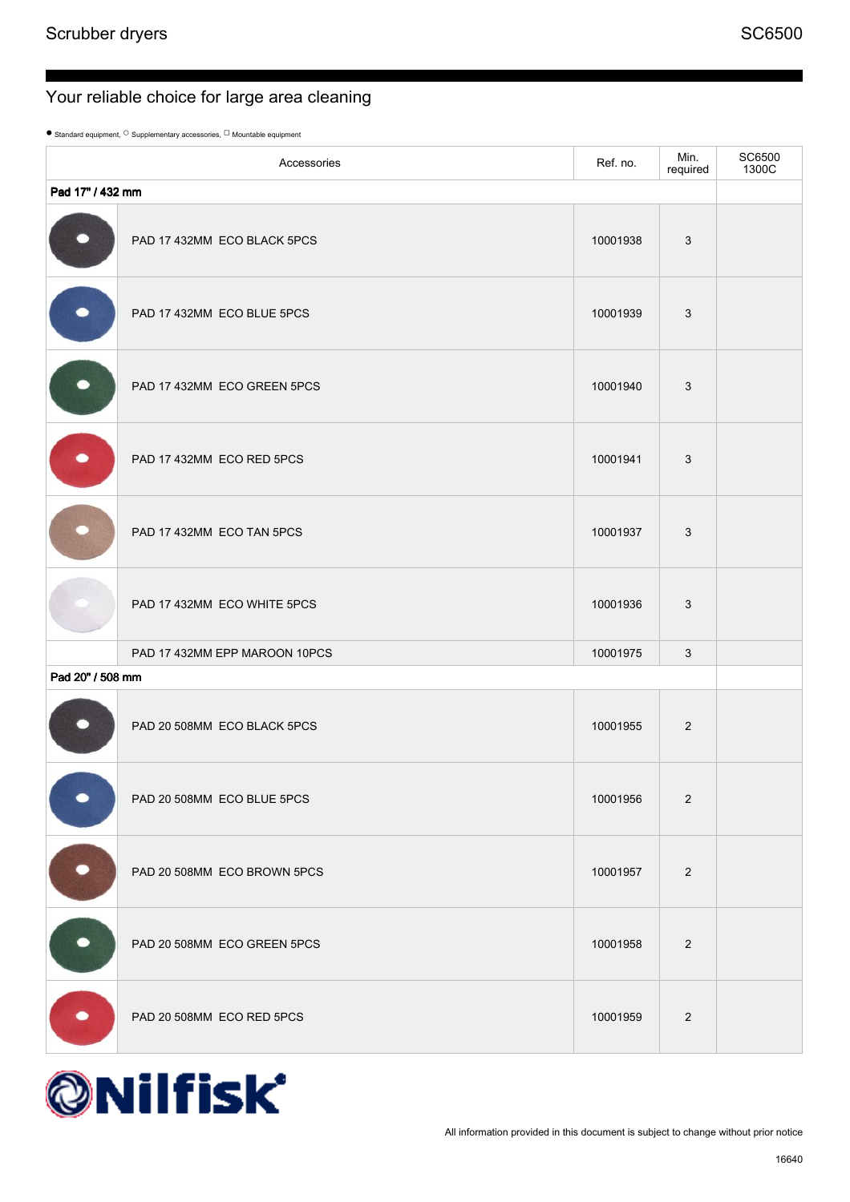$\bullet$  Standard equipment,  $^\bigcirc$  Supplementary accessories,  $^\bigcirc$  Mountable equipment

|                  | Accessories                   | Ref. no. | Min.<br>required | SC6500<br>1300C |
|------------------|-------------------------------|----------|------------------|-----------------|
| Pad 17" / 432 mm |                               |          |                  |                 |
|                  | PAD 17 432MM ECO BLACK 5PCS   | 10001938 | $\mathbf{3}$     |                 |
|                  | PAD 17 432MM ECO BLUE 5PCS    | 10001939 | 3                |                 |
|                  | PAD 17 432MM ECO GREEN 5PCS   | 10001940 | 3                |                 |
| $\bullet$        | PAD 17 432MM ECO RED 5PCS     | 10001941 | 3                |                 |
|                  | PAD 17 432MM ECO TAN 5PCS     | 10001937 | $\mathbf{3}$     |                 |
|                  | PAD 17 432MM ECO WHITE 5PCS   | 10001936 | 3                |                 |
|                  | PAD 17 432MM EPP MAROON 10PCS | 10001975 | 3                |                 |
| Pad 20" / 508 mm |                               |          |                  |                 |
|                  | PAD 20 508MM ECO BLACK 5PCS   | 10001955 | 2                |                 |
|                  | PAD 20 508MM ECO BLUE 5PCS    | 10001956 | $\overline{2}$   |                 |
|                  | PAD 20 508MM ECO BROWN 5PCS   | 10001957 | $\overline{2}$   |                 |
|                  | PAD 20 508MM ECO GREEN 5PCS   | 10001958 | $\overline{2}$   |                 |
|                  | PAD 20 508MM ECO RED 5PCS     | 10001959 | $\overline{2}$   |                 |

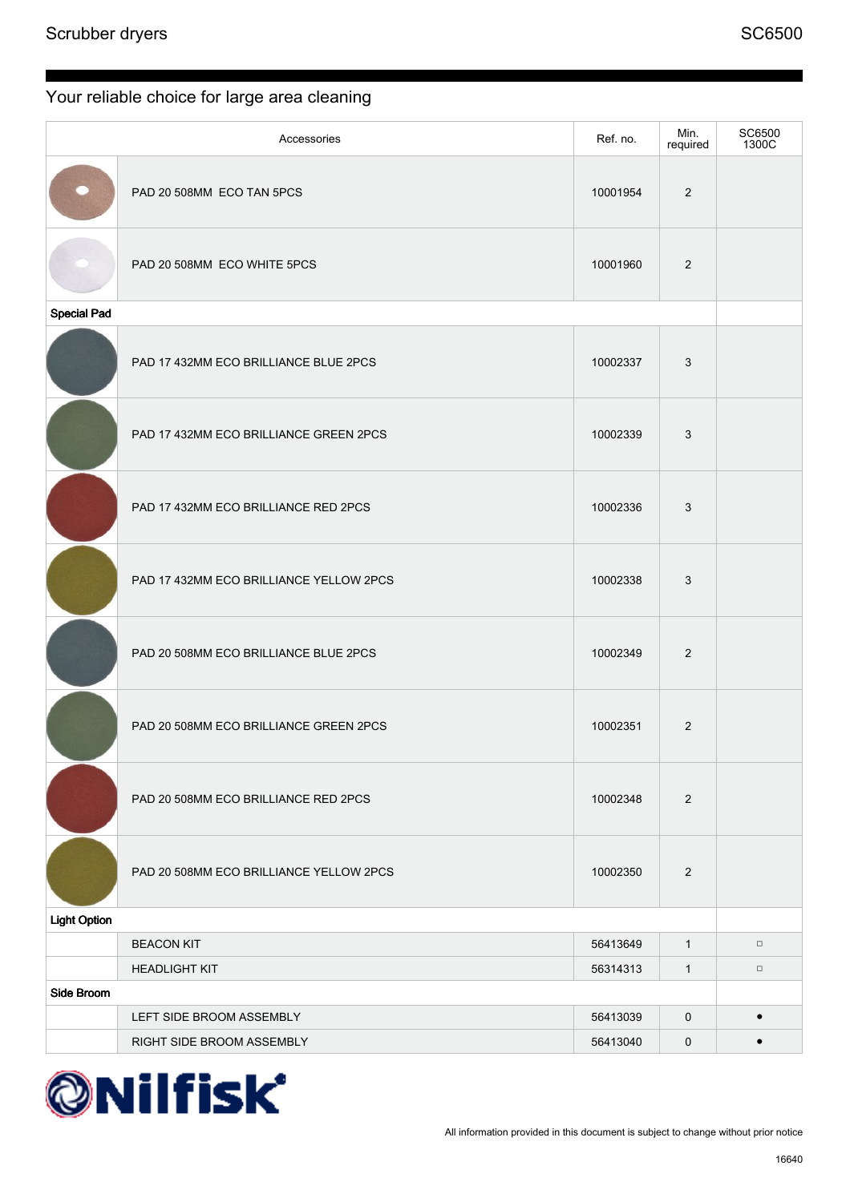|                     | Accessories                             | Ref. no. | Min.<br>required | SC6500<br>1300C |
|---------------------|-----------------------------------------|----------|------------------|-----------------|
|                     | PAD 20 508MM ECO TAN 5PCS               | 10001954 | 2                |                 |
|                     | PAD 20 508MM ECO WHITE 5PCS             | 10001960 | 2                |                 |
| <b>Special Pad</b>  |                                         |          |                  |                 |
|                     | PAD 17 432MM ECO BRILLIANCE BLUE 2PCS   | 10002337 | 3                |                 |
|                     | PAD 17 432MM ECO BRILLIANCE GREEN 2PCS  | 10002339 | 3                |                 |
|                     | PAD 17 432MM ECO BRILLIANCE RED 2PCS    | 10002336 | $\mathbf{3}$     |                 |
|                     | PAD 17 432MM ECO BRILLIANCE YELLOW 2PCS | 10002338 | 3                |                 |
|                     | PAD 20 508MM ECO BRILLIANCE BLUE 2PCS   | 10002349 | 2                |                 |
|                     | PAD 20 508MM ECO BRILLIANCE GREEN 2PCS  | 10002351 | $\overline{2}$   |                 |
|                     | PAD 20 508MM ECO BRILLIANCE RED 2PCS    | 10002348 | $\sqrt{2}$       |                 |
|                     | PAD 20 508MM ECO BRILLIANCE YELLOW 2PCS | 10002350 | $\overline{2}$   |                 |
| <b>Light Option</b> |                                         |          |                  |                 |
|                     | <b>BEACON KIT</b>                       | 56413649 | $\mathbf{1}$     | $\Box$          |
|                     | <b>HEADLIGHT KIT</b>                    | 56314313 | $\mathbf{1}$     | $\Box$          |
| Side Broom          |                                         |          |                  |                 |
|                     | LEFT SIDE BROOM ASSEMBLY                | 56413039 | $\mathsf 0$      | $\bullet$       |
|                     | RIGHT SIDE BROOM ASSEMBLY               | 56413040 | $\pmb{0}$        | $\bullet$       |

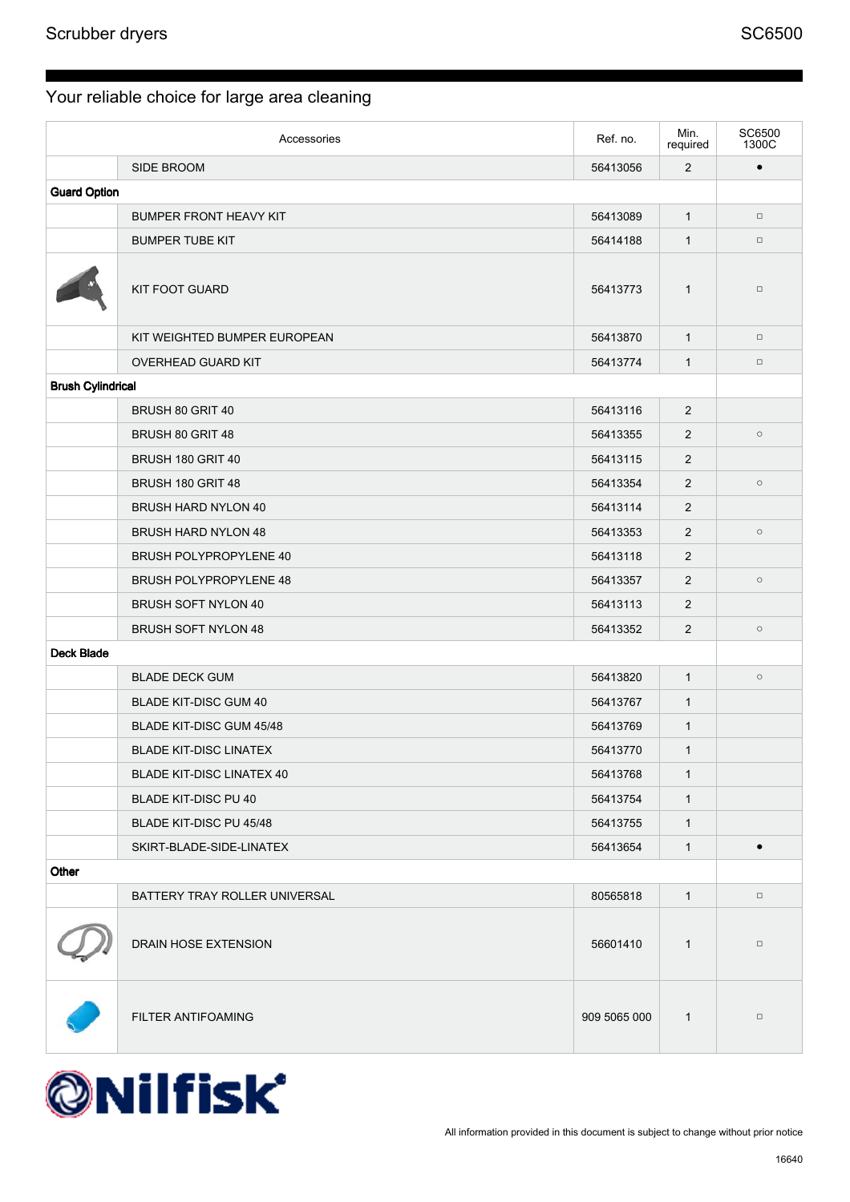|                          | Accessories                      | Ref. no.     | Min.<br>required | SC6500<br>1300C |
|--------------------------|----------------------------------|--------------|------------------|-----------------|
|                          | SIDE BROOM                       | 56413056     | $\overline{2}$   | $\bullet$       |
| <b>Guard Option</b>      |                                  |              |                  |                 |
|                          | <b>BUMPER FRONT HEAVY KIT</b>    | 56413089     | $\mathbf{1}$     | $\Box$          |
|                          | <b>BUMPER TUBE KIT</b>           | 56414188     | $\mathbf{1}$     | $\Box$          |
|                          | <b>KIT FOOT GUARD</b>            | 56413773     | $\mathbf{1}$     | $\Box$          |
|                          | KIT WEIGHTED BUMPER EUROPEAN     | 56413870     | $\mathbf{1}$     | $\Box$          |
|                          | OVERHEAD GUARD KIT               | 56413774     | $\mathbf{1}$     | $\Box$          |
| <b>Brush Cylindrical</b> |                                  |              |                  |                 |
|                          | BRUSH 80 GRIT 40                 | 56413116     | 2                |                 |
|                          | BRUSH 80 GRIT 48                 | 56413355     | $\overline{2}$   | $\circ$         |
|                          | BRUSH 180 GRIT 40                | 56413115     | $\overline{2}$   |                 |
|                          | BRUSH 180 GRIT 48                | 56413354     | $\overline{2}$   | $\circ$         |
|                          | <b>BRUSH HARD NYLON 40</b>       | 56413114     | $\overline{2}$   |                 |
|                          | <b>BRUSH HARD NYLON 48</b>       | 56413353     | 2                | $\circ$         |
|                          | <b>BRUSH POLYPROPYLENE 40</b>    | 56413118     | 2                |                 |
|                          | <b>BRUSH POLYPROPYLENE 48</b>    | 56413357     | $\overline{2}$   | $\circ$         |
|                          | <b>BRUSH SOFT NYLON 40</b>       | 56413113     | $\overline{2}$   |                 |
|                          | <b>BRUSH SOFT NYLON 48</b>       | 56413352     | 2                | $\circ$         |
| <b>Deck Blade</b>        |                                  |              |                  |                 |
|                          | <b>BLADE DECK GUM</b>            | 56413820     | $\mathbf{1}$     | $\circ$         |
|                          | <b>BLADE KIT-DISC GUM 40</b>     | 56413767     | $\mathbf{1}$     |                 |
|                          | BLADE KIT-DISC GUM 45/48         | 56413769     | $\mathbf{1}$     |                 |
|                          | <b>BLADE KIT-DISC LINATEX</b>    | 56413770     | $\mathbf{1}$     |                 |
|                          | <b>BLADE KIT-DISC LINATEX 40</b> | 56413768     | $\mathbf{1}$     |                 |
|                          | <b>BLADE KIT-DISC PU 40</b>      | 56413754     | $\mathbf{1}$     |                 |
|                          | BLADE KIT-DISC PU 45/48          | 56413755     | $\mathbf{1}$     |                 |
|                          | SKIRT-BLADE-SIDE-LINATEX         | 56413654     | $\mathbf{1}$     | $\bullet$       |
| Other                    |                                  |              |                  |                 |
|                          | BATTERY TRAY ROLLER UNIVERSAL    | 80565818     | $\mathbf{1}$     | $\Box$          |
|                          | DRAIN HOSE EXTENSION             | 56601410     | $\mathbf{1}$     | $\Box$          |
|                          | FILTER ANTIFOAMING               | 909 5065 000 | $\mathbf{1}$     | $\Box$          |

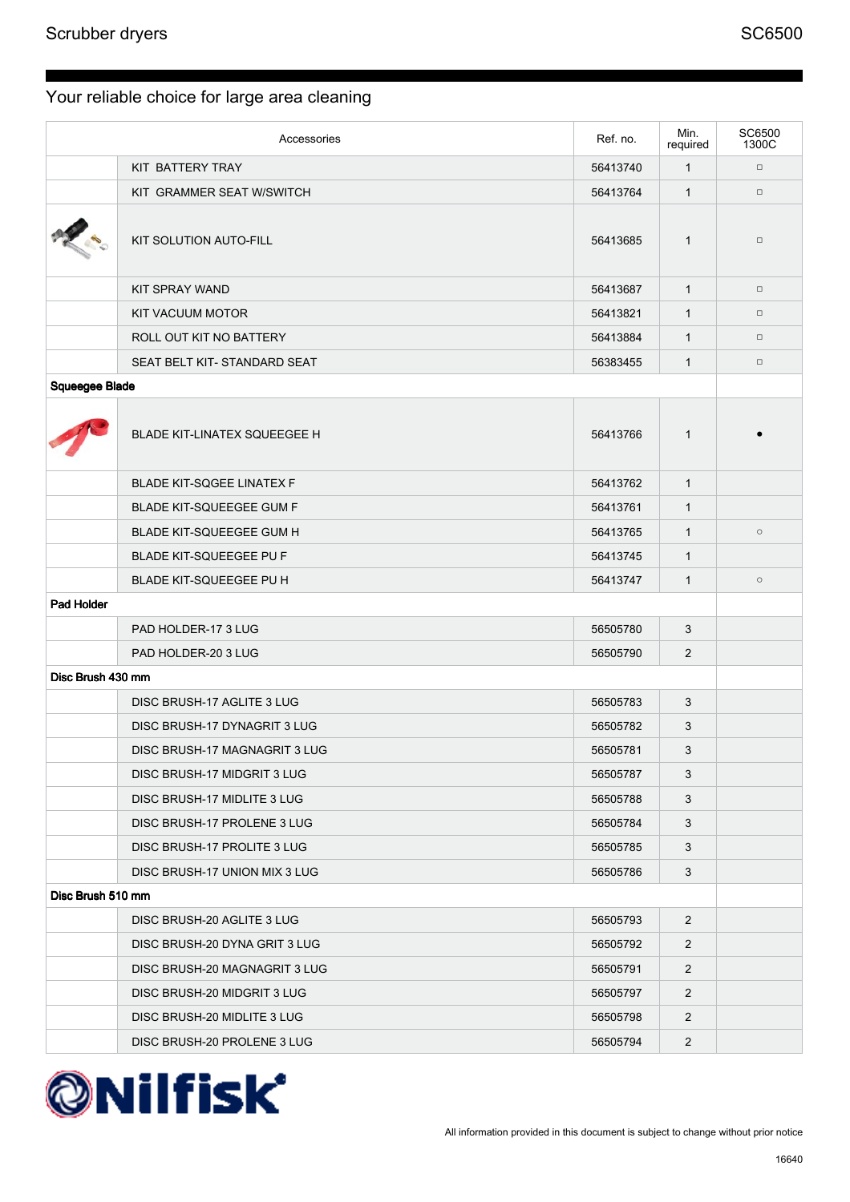| Accessories           |                                     | Ref. no. | Min.<br>required | SC6500<br>1300C |
|-----------------------|-------------------------------------|----------|------------------|-----------------|
|                       | KIT BATTERY TRAY                    | 56413740 | $\mathbf{1}$     | $\Box$          |
|                       | KIT GRAMMER SEAT W/SWITCH           | 56413764 | $\mathbf{1}$     | $\Box$          |
|                       | KIT SOLUTION AUTO-FILL              | 56413685 | $\mathbf{1}$     | $\Box$          |
|                       | KIT SPRAY WAND                      | 56413687 | $\mathbf{1}$     | $\Box$          |
|                       | KIT VACUUM MOTOR                    | 56413821 | $\mathbf{1}$     | $\Box$          |
|                       | ROLL OUT KIT NO BATTERY             | 56413884 | $\mathbf{1}$     | $\Box$          |
|                       | SEAT BELT KIT-STANDARD SEAT         | 56383455 | $\mathbf{1}$     | $\Box$          |
| <b>Squeegee Blade</b> |                                     |          |                  |                 |
|                       | <b>BLADE KIT-LINATEX SQUEEGEE H</b> | 56413766 | $\mathbf{1}$     |                 |
|                       | <b>BLADE KIT-SQGEE LINATEX F</b>    | 56413762 | $\mathbf{1}$     |                 |
|                       | <b>BLADE KIT-SQUEEGEE GUM F</b>     | 56413761 | $\mathbf{1}$     |                 |
|                       | <b>BLADE KIT-SQUEEGEE GUM H</b>     | 56413765 | $\mathbf{1}$     | $\circ$         |
|                       | <b>BLADE KIT-SQUEEGEE PU F</b>      | 56413745 | $\mathbf{1}$     |                 |
|                       | BLADE KIT-SQUEEGEE PU H             | 56413747 | $\mathbf{1}$     | $\circ$         |
| Pad Holder            |                                     |          |                  |                 |
|                       | PAD HOLDER-17 3 LUG                 | 56505780 | 3                |                 |
|                       | PAD HOLDER-20 3 LUG                 | 56505790 | 2                |                 |
| Disc Brush 430 mm     |                                     |          |                  |                 |
|                       | DISC BRUSH-17 AGLITE 3 LUG          | 56505783 | 3                |                 |
|                       | DISC BRUSH-17 DYNAGRIT 3 LUG        | 56505782 | 3                |                 |
|                       | DISC BRUSH-17 MAGNAGRIT 3 LUG       | 56505781 | 3                |                 |
|                       | DISC BRUSH-17 MIDGRIT 3 LUG         | 56505787 | 3                |                 |
|                       | DISC BRUSH-17 MIDLITE 3 LUG         | 56505788 | 3                |                 |
|                       | DISC BRUSH-17 PROLENE 3 LUG         | 56505784 | 3                |                 |
|                       | DISC BRUSH-17 PROLITE 3 LUG         | 56505785 | 3                |                 |
|                       | DISC BRUSH-17 UNION MIX 3 LUG       | 56505786 | 3                |                 |
| Disc Brush 510 mm     |                                     |          |                  |                 |
|                       | DISC BRUSH-20 AGLITE 3 LUG          | 56505793 | $\overline{2}$   |                 |
|                       | DISC BRUSH-20 DYNA GRIT 3 LUG       | 56505792 | $\overline{2}$   |                 |
|                       | DISC BRUSH-20 MAGNAGRIT 3 LUG       | 56505791 | $\overline{2}$   |                 |
|                       | DISC BRUSH-20 MIDGRIT 3 LUG         | 56505797 | $\overline{2}$   |                 |
|                       | DISC BRUSH-20 MIDLITE 3 LUG         | 56505798 | $\overline{2}$   |                 |
|                       | DISC BRUSH-20 PROLENE 3 LUG         | 56505794 | $\overline{2}$   |                 |